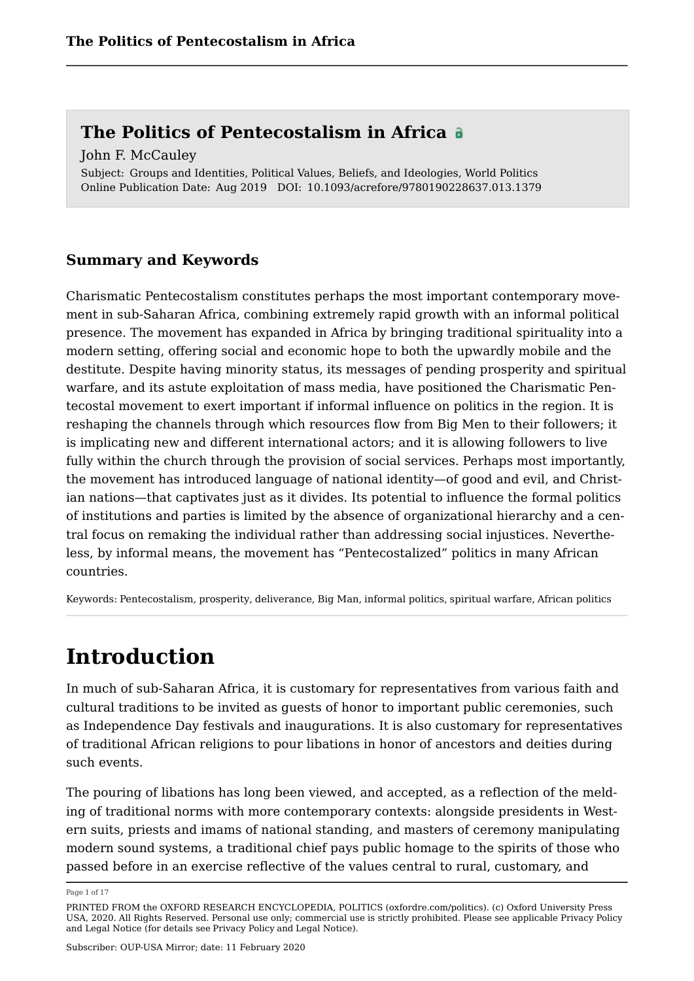Subject: Groups and Identities, Political Values, Beliefs, and Ideologies, World Politics Online Publication Date: Aug 2019 DOI: 10.1093/acrefore/9780190228637.013.1379 John F. McCauley

## **Summary and Keywords**

Charismatic Pentecostalism constitutes perhaps the most important contemporary movement in sub-Saharan Africa, combining extremely rapid growth with an informal political presence. The movement has expanded in Africa by bringing traditional spirituality into a modern setting, offering social and economic hope to both the upwardly mobile and the destitute. Despite having minority status, its messages of pending prosperity and spiritual warfare, and its astute exploitation of mass media, have positioned the Charismatic Pentecostal movement to exert important if informal influence on politics in the region. It is reshaping the channels through which resources flow from Big Men to their followers; it is implicating new and different international actors; and it is allowing followers to live fully within the church through the provision of social services. Perhaps most importantly, the movement has introduced language of national identity—of good and evil, and Christian nations—that captivates just as it divides. Its potential to influence the formal politics of institutions and parties is limited by the absence of organizational hierarchy and a central focus on remaking the individual rather than addressing social injustices. Nevertheless, by informal means, the movement has "Pentecostalized" politics in many African countries.

Keywords: Pentecostalism, prosperity, deliverance, Big Man, informal politics, spiritual warfare, African politics

## **Introduction**

In much of sub-Saharan Africa, it is customary for representatives from various faith and cultural traditions to be invited as guests of honor to important public ceremonies, such as Independence Day festivals and inaugurations. It is also customary for representatives of traditional African religions to pour libations in honor of ancestors and deities during such events.

The pouring of libations has long been viewed, and accepted, as a reflection of the melding of traditional norms with more contemporary contexts: alongside presidents in Western suits, priests and imams of national standing, and masters of ceremony manipulating modern sound systems, a traditional chief pays public homage to the spirits of those who passed before in an exercise reflective of the values central to rural, customary, and

Page 1 of 17

PRINTED FROM the OXFORD RESEARCH ENCYCLOPEDIA, POLITICS (oxfordre.com/politics). (c) Oxford University Press USA, 2020. All Rights Reserved. Personal use only; commercial use is strictly prohibited. Please see applicable Privacy Policy and Legal Notice (for details see Privacy Policy and Legal Notice).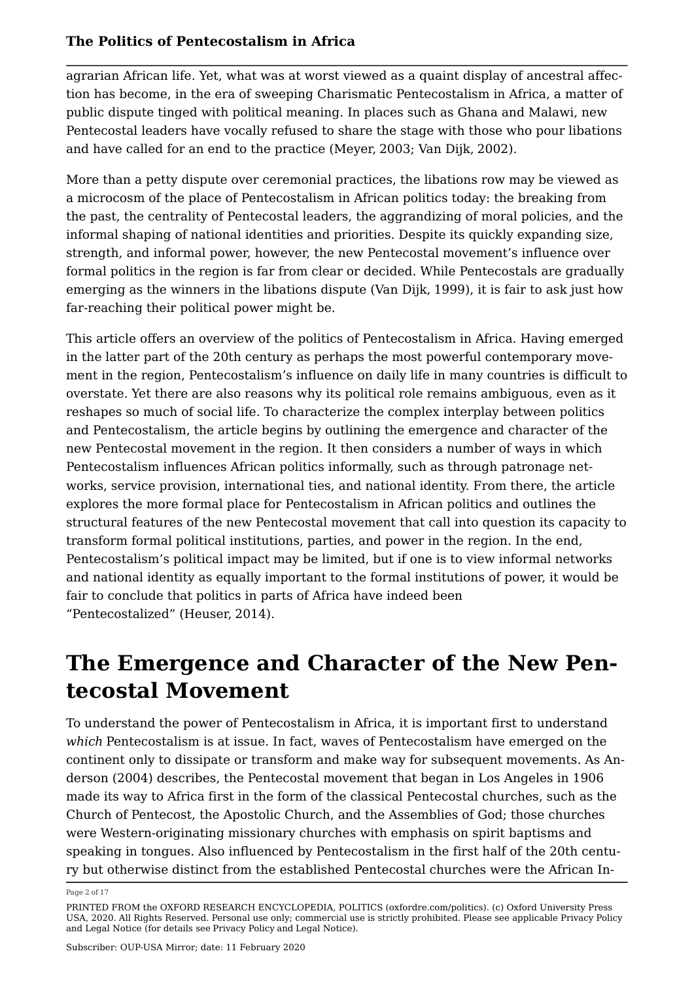agrarian African life. Yet, what was at worst viewed as a quaint display of ancestral affection has become, in the era of sweeping Charismatic Pentecostalism in Africa, a matter of public dispute tinged with political meaning. In places such as Ghana and Malawi, new Pentecostal leaders have vocally refused to share the stage with those who pour libations and have called for an end to the practice (Meyer, 2003; Van Dijk, 2002).

More than a petty dispute over ceremonial practices, the libations row may be viewed as a microcosm of the place of Pentecostalism in African politics today: the breaking from the past, the centrality of Pentecostal leaders, the aggrandizing of moral policies, and the informal shaping of national identities and priorities. Despite its quickly expanding size, strength, and informal power, however, the new Pentecostal movement's influence over formal politics in the region is far from clear or decided. While Pentecostals are gradually emerging as the winners in the libations dispute (Van Dijk, 1999), it is fair to ask just how far-reaching their political power might be.

This article offers an overview of the politics of Pentecostalism in Africa. Having emerged in the latter part of the 20th century as perhaps the most powerful contemporary movement in the region, Pentecostalism's influence on daily life in many countries is difficult to overstate. Yet there are also reasons why its political role remains ambiguous, even as it reshapes so much of social life. To characterize the complex interplay between politics and Pentecostalism, the article begins by outlining the emergence and character of the new Pentecostal movement in the region. It then considers a number of ways in which Pentecostalism influences African politics informally, such as through patronage networks, service provision, international ties, and national identity. From there, the article explores the more formal place for Pentecostalism in African politics and outlines the structural features of the new Pentecostal movement that call into question its capacity to transform formal political institutions, parties, and power in the region. In the end, Pentecostalism's political impact may be limited, but if one is to view informal networks and national identity as equally important to the formal institutions of power, it would be fair to conclude that politics in parts of Africa have indeed been "Pentecostalized" (Heuser, 2014).

## **The Emergence and Character of the New Pentecostal Movement**

To understand the power of Pentecostalism in Africa, it is important first to understand *which* Pentecostalism is at issue. In fact, waves of Pentecostalism have emerged on the continent only to dissipate or transform and make way for subsequent movements. As Anderson (2004) describes, the Pentecostal movement that began in Los Angeles in 1906 made its way to Africa first in the form of the classical Pentecostal churches, such as the Church of Pentecost, the Apostolic Church, and the Assemblies of God; those churches were Western-originating missionary churches with emphasis on spirit baptisms and speaking in tongues. Also influenced by Pentecostalism in the first half of the 20th century but otherwise distinct from the established Pentecostal churches were the African In

Page 2 of 17

PRINTED FROM the OXFORD RESEARCH ENCYCLOPEDIA, POLITICS (oxfordre.com/politics). (c) Oxford University Press USA, 2020. All Rights Reserved. Personal use only; commercial use is strictly prohibited. Please see applicable Privacy Policy and Legal Notice (for details see Privacy Policy and Legal Notice).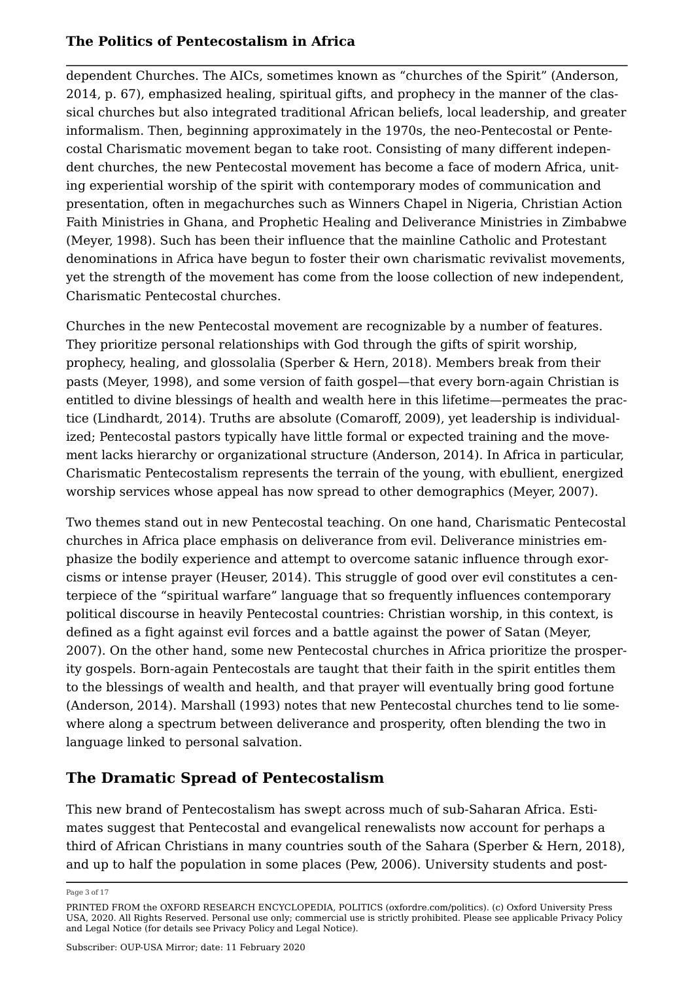dependent Churches. The AICs, sometimes known as "churches of the Spirit" (Anderson, 2014, p. 67), emphasized healing, spiritual gifts, and prophecy in the manner of the classical churches but also integrated traditional African beliefs, local leadership, and greater informalism. Then, beginning approximately in the 1970s, the neo-Pentecostal or Pentecostal Charismatic movement began to take root. Consisting of many different independent churches, the new Pentecostal movement has become a face of modern Africa, uniting experiential worship of the spirit with contemporary modes of communication and presentation, often in megachurches such as Winners Chapel in Nigeria, Christian Action Faith Ministries in Ghana, and Prophetic Healing and Deliverance Ministries in Zimbabwe (Meyer, 1998). Such has been their influence that the mainline Catholic and Protestant denominations in Africa have begun to foster their own charismatic revivalist movements, yet the strength of the movement has come from the loose collection of new independent, Charismatic Pentecostal churches.

Churches in the new Pentecostal movement are recognizable by a number of features. They prioritize personal relationships with God through the gifts of spirit worship, prophecy, healing, and glossolalia (Sperber & Hern, 2018). Members break from their pasts (Meyer, 1998), and some version of faith gospel—that every born-again Christian is entitled to divine blessings of health and wealth here in this lifetime—permeates the practice (Lindhardt, 2014). Truths are absolute (Comaroff, 2009), yet leadership is individualized; Pentecostal pastors typically have little formal or expected training and the movement lacks hierarchy or organizational structure (Anderson, 2014). In Africa in particular, Charismatic Pentecostalism represents the terrain of the young, with ebullient, energized worship services whose appeal has now spread to other demographics (Meyer, 2007).

Two themes stand out in new Pentecostal teaching. On one hand, Charismatic Pentecostal churches in Africa place emphasis on deliverance from evil. Deliverance ministries emphasize the bodily experience and attempt to overcome satanic influence through exorcisms or intense prayer (Heuser, 2014). This struggle of good over evil constitutes a centerpiece of the "spiritual warfare" language that so frequently influences contemporary political discourse in heavily Pentecostal countries: Christian worship, in this context, is defined as a fight against evil forces and a battle against the power of Satan (Meyer, 2007). On the other hand, some new Pentecostal churches in Africa prioritize the prosperity gospels. Born-again Pentecostals are taught that their faith in the spirit entitles them to the blessings of wealth and health, and that prayer will eventually bring good fortune (Anderson, 2014). Marshall (1993) notes that new Pentecostal churches tend to lie somewhere along a spectrum between deliverance and prosperity, often blending the two in language linked to personal salvation.

## **The Dramatic Spread of Pentecostalism**

This new brand of Pentecostalism has swept across much of sub-Saharan Africa. Estimates suggest that Pentecostal and evangelical renewalists now account for perhaps a third of African Christians in many countries south of the Sahara (Sperber & Hern, 2018), and up to half the population in some places (Pew, 2006). University students and post

Page 3 of 17

PRINTED FROM the OXFORD RESEARCH ENCYCLOPEDIA, POLITICS (oxfordre.com/politics). (c) Oxford University Press USA, 2020. All Rights Reserved. Personal use only; commercial use is strictly prohibited. Please see applicable Privacy Policy and Legal Notice (for details see Privacy Policy and Legal Notice).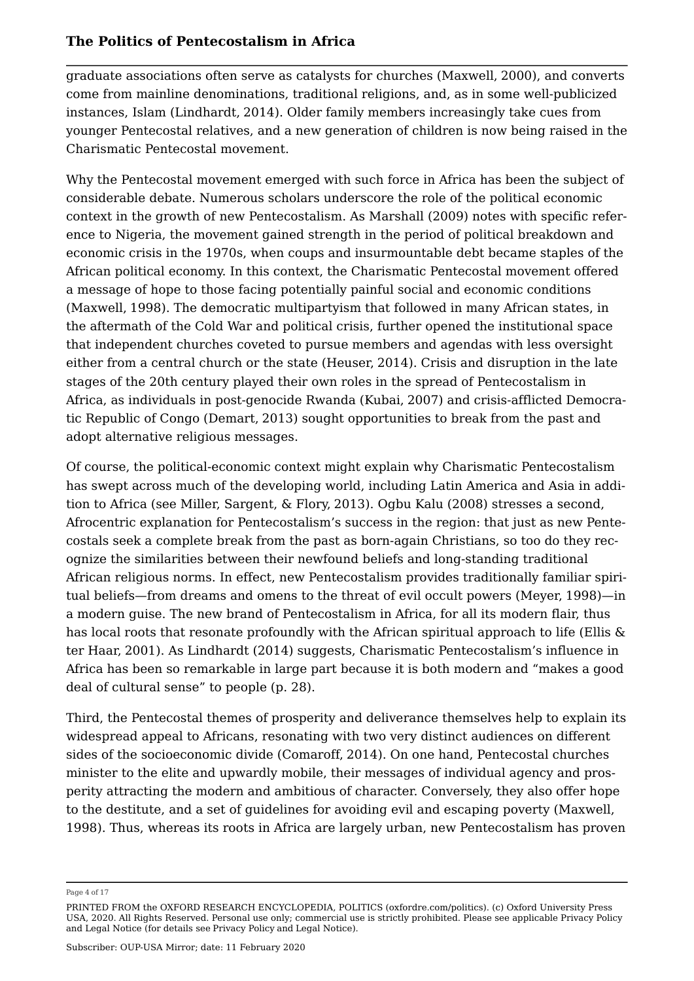graduate associations often serve as catalysts for churches (Maxwell, 2000), and converts come from mainline denominations, traditional religions, and, as in some well-publicized instances, Islam (Lindhardt, 2014). Older family members increasingly take cues from younger Pentecostal relatives, and a new generation of children is now being raised in the Charismatic Pentecostal movement.

Why the Pentecostal movement emerged with such force in Africa has been the subject of considerable debate. Numerous scholars underscore the role of the political economic context in the growth of new Pentecostalism. As Marshall (2009) notes with specific reference to Nigeria, the movement gained strength in the period of political breakdown and economic crisis in the 1970s, when coups and insurmountable debt became staples of the African political economy. In this context, the Charismatic Pentecostal movement offered a message of hope to those facing potentially painful social and economic conditions (Maxwell, 1998). The democratic multipartyism that followed in many African states, in the aftermath of the Cold War and political crisis, further opened the institutional space that independent churches coveted to pursue members and agendas with less oversight either from a central church or the state (Heuser, 2014). Crisis and disruption in the late stages of the 20th century played their own roles in the spread of Pentecostalism in Africa, as individuals in post-genocide Rwanda (Kubai, 2007) and crisis-afflicted Democratic Republic of Congo (Demart, 2013) sought opportunities to break from the past and adopt alternative religious messages.

Of course, the political-economic context might explain why Charismatic Pentecostalism has swept across much of the developing world, including Latin America and Asia in addition to Africa (see Miller, Sargent, & Flory, 2013). Ogbu Kalu (2008) stresses a second, Afrocentric explanation for Pentecostalism's success in the region: that just as new Pentecostals seek a complete break from the past as born-again Christians, so too do they recognize the similarities between their newfound beliefs and long-standing traditional African religious norms. In effect, new Pentecostalism provides traditionally familiar spiritual beliefs—from dreams and omens to the threat of evil occult powers (Meyer, 1998)—in a modern guise. The new brand of Pentecostalism in Africa, for all its modern flair, thus has local roots that resonate profoundly with the African spiritual approach to life (Ellis & ter Haar, 2001). As Lindhardt (2014) suggests, Charismatic Pentecostalism's influence in Africa has been so remarkable in large part because it is both modern and "makes a good deal of cultural sense" to people (p. 28).

Third, the Pentecostal themes of prosperity and deliverance themselves help to explain its widespread appeal to Africans, resonating with two very distinct audiences on different sides of the socioeconomic divide (Comaroff, 2014). On one hand, Pentecostal churches minister to the elite and upwardly mobile, their messages of individual agency and prosperity attracting the modern and ambitious of character. Conversely, they also offer hope to the destitute, and a set of guidelines for avoiding evil and escaping poverty (Maxwell, 1998). Thus, whereas its roots in Africa are largely urban, new Pentecostalism has proven

Page 4 of 17

PRINTED FROM the OXFORD RESEARCH ENCYCLOPEDIA, POLITICS (oxfordre.com/politics). (c) Oxford University Press USA, 2020. All Rights Reserved. Personal use only; commercial use is strictly prohibited. Please see applicable Privacy Policy and Legal Notice (for details see Privacy Policy and Legal Notice).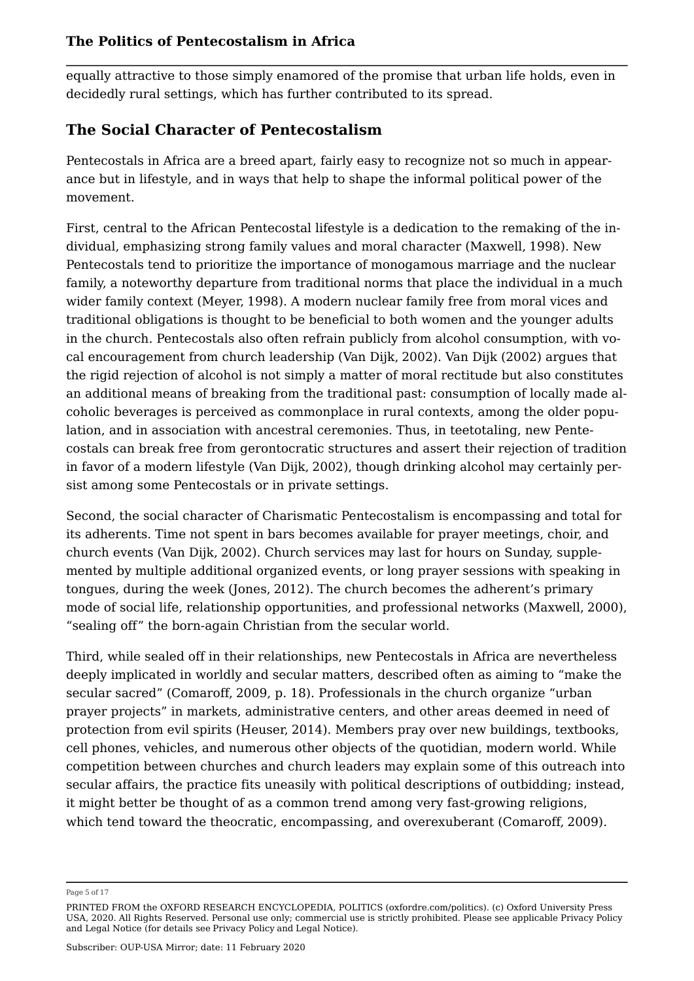equally attractive to those simply enamored of the promise that urban life holds, even in decidedly rural settings, which has further contributed to its spread.

## **The Social Character of Pentecostalism**

Pentecostals in Africa are a breed apart, fairly easy to recognize not so much in appearance but in lifestyle, and in ways that help to shape the informal political power of the movement.

First, central to the African Pentecostal lifestyle is a dedication to the remaking of the individual, emphasizing strong family values and moral character (Maxwell, 1998). New Pentecostals tend to prioritize the importance of monogamous marriage and the nuclear family, a noteworthy departure from traditional norms that place the individual in a much wider family context (Meyer, 1998). A modern nuclear family free from moral vices and traditional obligations is thought to be beneficial to both women and the younger adults in the church. Pentecostals also often refrain publicly from alcohol consumption, with vocal encouragement from church leadership (Van Dijk, 2002). Van Dijk (2002) argues that the rigid rejection of alcohol is not simply a matter of moral rectitude but also constitutes an additional means of breaking from the traditional past: consumption of locally made alcoholic beverages is perceived as commonplace in rural contexts, among the older population, and in association with ancestral ceremonies. Thus, in teetotaling, new Pentecostals can break free from gerontocratic structures and assert their rejection of tradition in favor of a modern lifestyle (Van Dijk, 2002), though drinking alcohol may certainly persist among some Pentecostals or in private settings.

Second, the social character of Charismatic Pentecostalism is encompassing and total for its adherents. Time not spent in bars becomes available for prayer meetings, choir, and church events (Van Dijk, 2002). Church services may last for hours on Sunday, supplemented by multiple additional organized events, or long prayer sessions with speaking in tongues, during the week (Jones, 2012). The church becomes the adherent's primary mode of social life, relationship opportunities, and professional networks (Maxwell, 2000), "sealing off" the born-again Christian from the secular world.

Third, while sealed off in their relationships, new Pentecostals in Africa are nevertheless deeply implicated in worldly and secular matters, described often as aiming to "make the secular sacred" (Comaroff, 2009, p. 18). Professionals in the church organize "urban prayer projects" in markets, administrative centers, and other areas deemed in need of protection from evil spirits (Heuser, 2014). Members pray over new buildings, textbooks, cell phones, vehicles, and numerous other objects of the quotidian, modern world. While competition between churches and church leaders may explain some of this outreach into secular affairs, the practice fits uneasily with political descriptions of outbidding; instead, it might better be thought of as a common trend among very fast-growing religions, which tend toward the theocratic, encompassing, and overexuberant (Comaroff, 2009).

Page 5 of 17

PRINTED FROM the OXFORD RESEARCH ENCYCLOPEDIA, POLITICS (oxfordre.com/politics). (c) Oxford University Press USA, 2020. All Rights Reserved. Personal use only; commercial use is strictly prohibited. Please see applicable Privacy Policy and Legal Notice (for details see Privacy Policy and Legal Notice).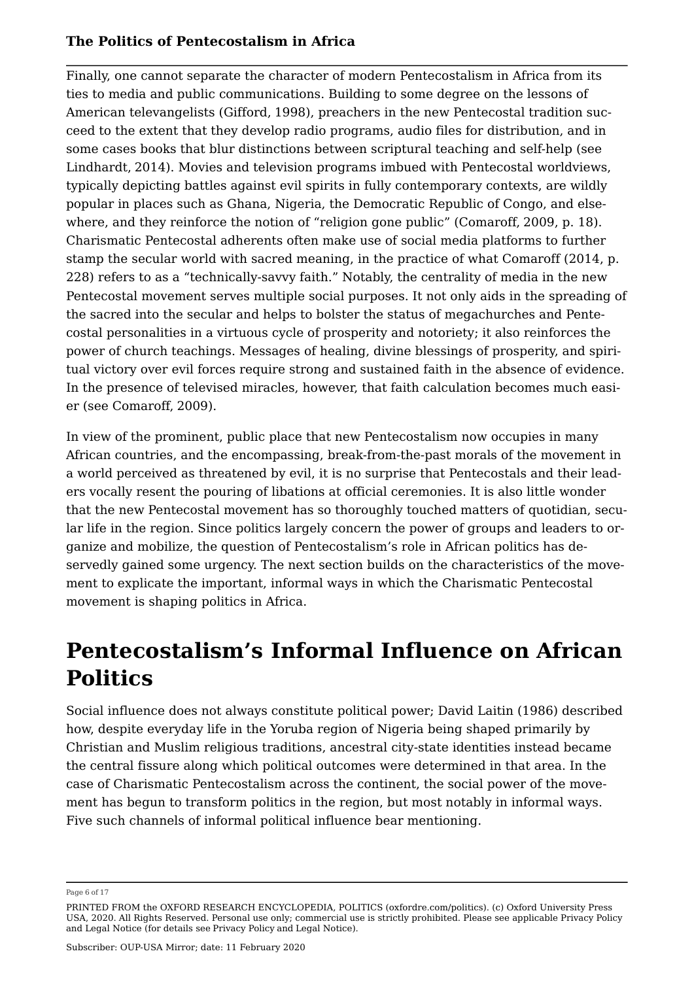Finally, one cannot separate the character of modern Pentecostalism in Africa from its ties to media and public communications. Building to some degree on the lessons of American televangelists (Gifford, 1998), preachers in the new Pentecostal tradition succeed to the extent that they develop radio programs, audio files for distribution, and in some cases books that blur distinctions between scriptural teaching and self-help (see Lindhardt, 2014). Movies and television programs imbued with Pentecostal worldviews, typically depicting battles against evil spirits in fully contemporary contexts, are wildly popular in places such as Ghana, Nigeria, the Democratic Republic of Congo, and elsewhere, and they reinforce the notion of "religion gone public" (Comaroff, 2009, p. 18). Charismatic Pentecostal adherents often make use of social media platforms to further stamp the secular world with sacred meaning, in the practice of what Comaroff (2014, p. 228) refers to as a "technically-savvy faith." Notably, the centrality of media in the new Pentecostal movement serves multiple social purposes. It not only aids in the spreading of the sacred into the secular and helps to bolster the status of megachurches and Pentecostal personalities in a virtuous cycle of prosperity and notoriety; it also reinforces the power of church teachings. Messages of healing, divine blessings of prosperity, and spiritual victory over evil forces require strong and sustained faith in the absence of evidence. In the presence of televised miracles, however, that faith calculation becomes much easier (see Comaroff, 2009).

In view of the prominent, public place that new Pentecostalism now occupies in many African countries, and the encompassing, break-from-the-past morals of the movement in a world perceived as threatened by evil, it is no surprise that Pentecostals and their leaders vocally resent the pouring of libations at official ceremonies. It is also little wonder that the new Pentecostal movement has so thoroughly touched matters of quotidian, secular life in the region. Since politics largely concern the power of groups and leaders to organize and mobilize, the question of Pentecostalism's role in African politics has deservedly gained some urgency. The next section builds on the characteristics of the movement to explicate the important, informal ways in which the Charismatic Pentecostal movement is shaping politics in Africa.

# **Pentecostalism's Informal Influence on African Politics**

Social influence does not always constitute political power; David Laitin (1986) described how, despite everyday life in the Yoruba region of Nigeria being shaped primarily by Christian and Muslim religious traditions, ancestral city-state identities instead became the central fissure along which political outcomes were determined in that area. In the case of Charismatic Pentecostalism across the continent, the social power of the movement has begun to transform politics in the region, but most notably in informal ways. Five such channels of informal political influence bear mentioning.

Page 6 of 17

PRINTED FROM the OXFORD RESEARCH ENCYCLOPEDIA, POLITICS (oxfordre.com/politics). (c) Oxford University Press USA, 2020. All Rights Reserved. Personal use only; commercial use is strictly prohibited. Please see applicable Privacy Policy and Legal Notice (for details see Privacy Policy and Legal Notice).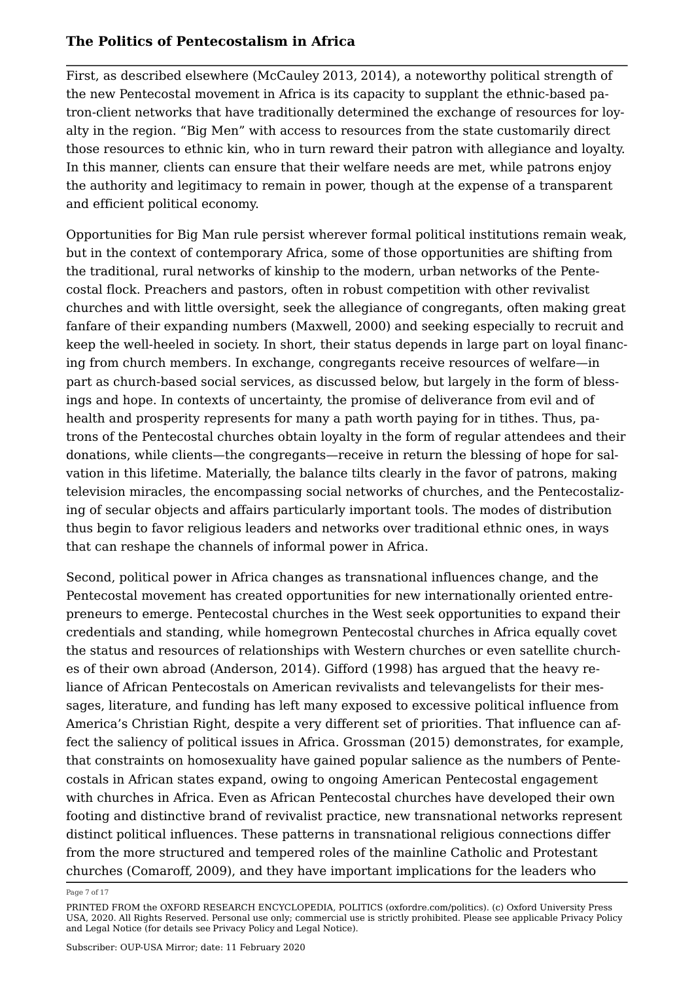First, as described elsewhere (McCauley 2013, 2014), a noteworthy political strength of the new Pentecostal movement in Africa is its capacity to supplant the ethnic-based patron-client networks that have traditionally determined the exchange of resources for loyalty in the region. "Big Men" with access to resources from the state customarily direct those resources to ethnic kin, who in turn reward their patron with allegiance and loyalty. In this manner, clients can ensure that their welfare needs are met, while patrons enjoy the authority and legitimacy to remain in power, though at the expense of a transparent and efficient political economy.

Opportunities for Big Man rule persist wherever formal political institutions remain weak, but in the context of contemporary Africa, some of those opportunities are shifting from the traditional, rural networks of kinship to the modern, urban networks of the Pentecostal flock. Preachers and pastors, often in robust competition with other revivalist churches and with little oversight, seek the allegiance of congregants, often making great fanfare of their expanding numbers (Maxwell, 2000) and seeking especially to recruit and keep the well-heeled in society. In short, their status depends in large part on loyal financing from church members. In exchange, congregants receive resources of welfare—in part as church-based social services, as discussed below, but largely in the form of blessings and hope. In contexts of uncertainty, the promise of deliverance from evil and of health and prosperity represents for many a path worth paying for in tithes. Thus, patrons of the Pentecostal churches obtain loyalty in the form of regular attendees and their donations, while clients—the congregants—receive in return the blessing of hope for salvation in this lifetime. Materially, the balance tilts clearly in the favor of patrons, making television miracles, the encompassing social networks of churches, and the Pentecostalizing of secular objects and affairs particularly important tools. The modes of distribution thus begin to favor religious leaders and networks over traditional ethnic ones, in ways that can reshape the channels of informal power in Africa.

Second, political power in Africa changes as transnational influences change, and the Pentecostal movement has created opportunities for new internationally oriented entrepreneurs to emerge. Pentecostal churches in the West seek opportunities to expand their credentials and standing, while homegrown Pentecostal churches in Africa equally covet the status and resources of relationships with Western churches or even satellite churches of their own abroad (Anderson, 2014). Gifford (1998) has argued that the heavy reliance of African Pentecostals on American revivalists and televangelists for their messages, literature, and funding has left many exposed to excessive political influence from America's Christian Right, despite a very different set of priorities. That influence can affect the saliency of political issues in Africa. Grossman (2015) demonstrates, for example, that constraints on homosexuality have gained popular salience as the numbers of Pentecostals in African states expand, owing to ongoing American Pentecostal engagement with churches in Africa. Even as African Pentecostal churches have developed their own footing and distinctive brand of revivalist practice, new transnational networks represent distinct political influences. These patterns in transnational religious connections differ from the more structured and tempered roles of the mainline Catholic and Protestant churches (Comaroff, 2009), and they have important implications for the leaders who

Page 7 of 17

PRINTED FROM the OXFORD RESEARCH ENCYCLOPEDIA, POLITICS (oxfordre.com/politics). (c) Oxford University Press USA, 2020. All Rights Reserved. Personal use only; commercial use is strictly prohibited. Please see applicable Privacy Policy and Legal Notice (for details see Privacy Policy and Legal Notice).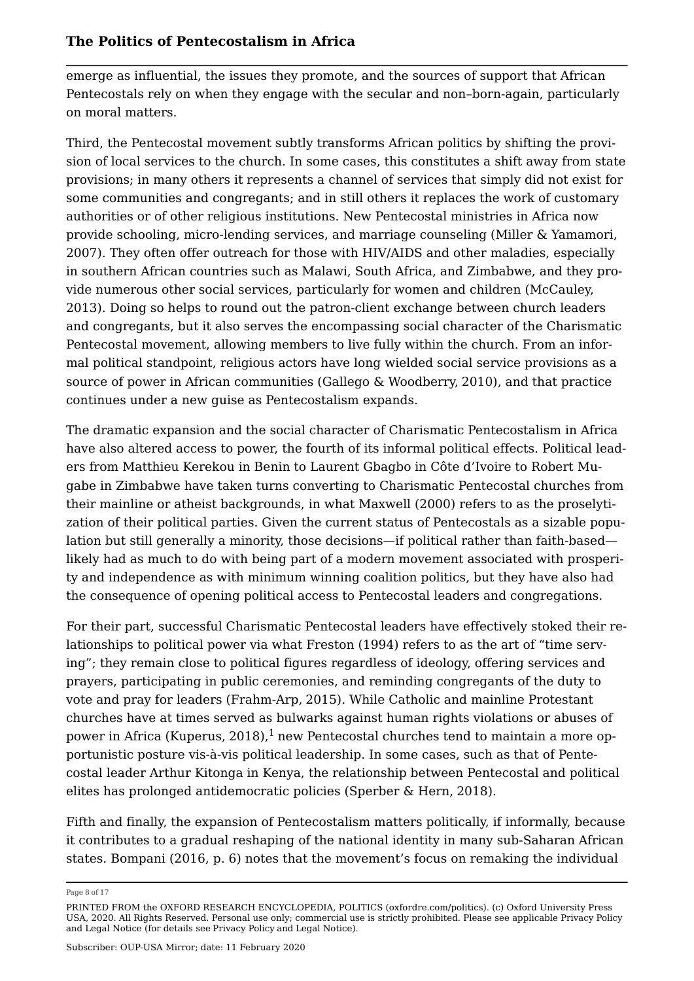emerge as influential, the issues they promote, and the sources of support that African Pentecostals rely on when they engage with the secular and non–born-again, particularly on moral matters.

Third, the Pentecostal movement subtly transforms African politics by shifting the provision of local services to the church. In some cases, this constitutes a shift away from state provisions; in many others it represents a channel of services that simply did not exist for some communities and congregants; and in still others it replaces the work of customary authorities or of other religious institutions. New Pentecostal ministries in Africa now provide schooling, micro-lending services, and marriage counseling (Miller & Yamamori, 2007). They often offer outreach for those with HIV/AIDS and other maladies, especially in southern African countries such as Malawi, South Africa, and Zimbabwe, and they provide numerous other social services, particularly for women and children (McCauley, 2013). Doing so helps to round out the patron-client exchange between church leaders and congregants, but it also serves the encompassing social character of the Charismatic Pentecostal movement, allowing members to live fully within the church. From an informal political standpoint, religious actors have long wielded social service provisions as a source of power in African communities (Gallego & Woodberry, 2010), and that practice continues under a new guise as Pentecostalism expands.

The dramatic expansion and the social character of Charismatic Pentecostalism in Africa have also altered access to power, the fourth of its informal political effects. Political leaders from Matthieu Kerekou in Benin to Laurent Gbagbo in Côte d'Ivoire to Robert Mugabe in Zimbabwe have taken turns converting to Charismatic Pentecostal churches from their mainline or atheist backgrounds, in what Maxwell (2000) refers to as the proselytization of their political parties. Given the current status of Pentecostals as a sizable population but still generally a minority, those decisions—if political rather than faith-based likely had as much to do with being part of a modern movement associated with prosperity and independence as with minimum winning coalition politics, but they have also had the consequence of opening political access to Pentecostal leaders and congregations.

For their part, successful Charismatic Pentecostal leaders have effectively stoked their relationships to political power via what Freston (1994) refers to as the art of "time serving"; they remain close to political figures regardless of ideology, offering services and prayers, participating in public ceremonies, and reminding congregants of the duty to vote and pray for leaders (Frahm-Arp, 2015). While Catholic and mainline Protestant churches have at times served as bulwarks against human rights violations or abuses of power in Africa (Kuperus, 2018),<sup>1</sup> new Pentecostal churches tend to maintain a more opportunistic posture vis-à-vis political leadership. In some cases, such as that of Pentecostal leader Arthur Kitonga in Kenya, the relationship between Pentecostal and political elites has prolonged antidemocratic policies (Sperber & Hern, 2018).

Fifth and finally, the expansion of Pentecostalism matters politically, if informally, because it contributes to a gradual reshaping of the national identity in many sub-Saharan African states. Bompani (2016, p. 6) notes that the movement's focus on remaking the individual

Page 8 of 17

PRINTED FROM the OXFORD RESEARCH ENCYCLOPEDIA, POLITICS (oxfordre.com/politics). (c) Oxford University Press USA, 2020. All Rights Reserved. Personal use only; commercial use is strictly prohibited. Please see applicable Privacy Policy and Legal Notice (for details see Privacy Policy and Legal Notice).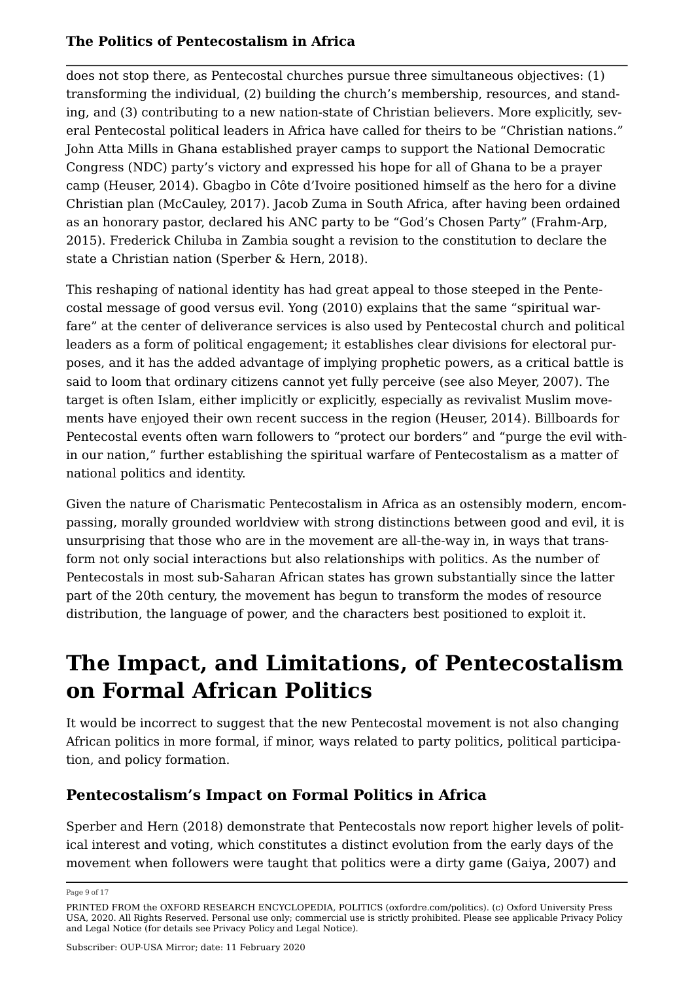does not stop there, as Pentecostal churches pursue three simultaneous objectives: (1) transforming the individual, (2) building the church's membership, resources, and standing, and (3) contributing to a new nation-state of Christian believers. More explicitly, several Pentecostal political leaders in Africa have called for theirs to be "Christian nations." John Atta Mills in Ghana established prayer camps to support the National Democratic Congress (NDC) party's victory and expressed his hope for all of Ghana to be a prayer camp (Heuser, 2014). Gbagbo in Côte d'Ivoire positioned himself as the hero for a divine Christian plan (McCauley, 2017). Jacob Zuma in South Africa, after having been ordained as an honorary pastor, declared his ANC party to be "God's Chosen Party" (Frahm-Arp, 2015). Frederick Chiluba in Zambia sought a revision to the constitution to declare the state a Christian nation (Sperber & Hern, 2018).

This reshaping of national identity has had great appeal to those steeped in the Pentecostal message of good versus evil. Yong (2010) explains that the same "spiritual warfare" at the center of deliverance services is also used by Pentecostal church and political leaders as a form of political engagement; it establishes clear divisions for electoral purposes, and it has the added advantage of implying prophetic powers, as a critical battle is said to loom that ordinary citizens cannot yet fully perceive (see also Meyer, 2007). The target is often Islam, either implicitly or explicitly, especially as revivalist Muslim movements have enjoyed their own recent success in the region (Heuser, 2014). Billboards for Pentecostal events often warn followers to "protect our borders" and "purge the evil within our nation," further establishing the spiritual warfare of Pentecostalism as a matter of national politics and identity.

Given the nature of Charismatic Pentecostalism in Africa as an ostensibly modern, encompassing, morally grounded worldview with strong distinctions between good and evil, it is unsurprising that those who are in the movement are all-the-way in, in ways that transform not only social interactions but also relationships with politics. As the number of Pentecostals in most sub-Saharan African states has grown substantially since the latter part of the 20th century, the movement has begun to transform the modes of resource distribution, the language of power, and the characters best positioned to exploit it.

# **The Impact, and Limitations, of Pentecostalism on Formal African Politics**

It would be incorrect to suggest that the new Pentecostal movement is not also changing African politics in more formal, if minor, ways related to party politics, political participation, and policy formation.

## **Pentecostalism's Impact on Formal Politics in Africa**

Sperber and Hern (2018) demonstrate that Pentecostals now report higher levels of political interest and voting, which constitutes a distinct evolution from the early days of the movement when followers were taught that politics were a dirty game (Gaiya, 2007) and

Page 9 of 17

PRINTED FROM the OXFORD RESEARCH ENCYCLOPEDIA, POLITICS (oxfordre.com/politics). (c) Oxford University Press USA, 2020. All Rights Reserved. Personal use only; commercial use is strictly prohibited. Please see applicable Privacy Policy and Legal Notice (for details see Privacy Policy and Legal Notice).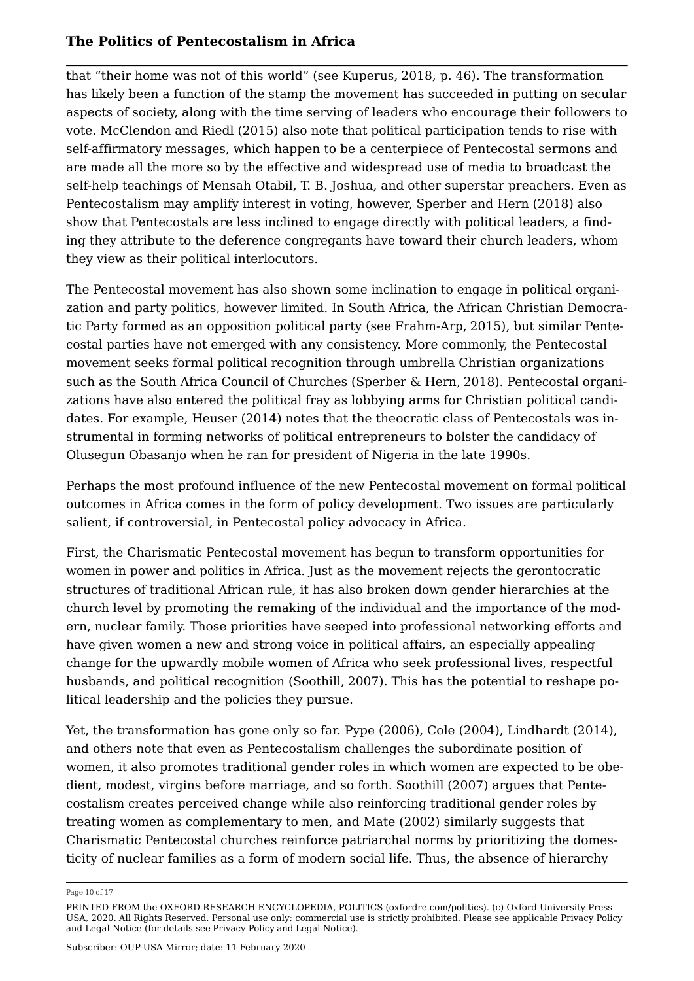that "their home was not of this world" (see Kuperus, 2018, p. 46). The transformation has likely been a function of the stamp the movement has succeeded in putting on secular aspects of society, along with the time serving of leaders who encourage their followers to vote. McClendon and Riedl (2015) also note that political participation tends to rise with self-affirmatory messages, which happen to be a centerpiece of Pentecostal sermons and are made all the more so by the effective and widespread use of media to broadcast the self-help teachings of Mensah Otabil, T. B. Joshua, and other superstar preachers. Even as Pentecostalism may amplify interest in voting, however, Sperber and Hern (2018) also show that Pentecostals are less inclined to engage directly with political leaders, a finding they attribute to the deference congregants have toward their church leaders, whom they view as their political interlocutors.

The Pentecostal movement has also shown some inclination to engage in political organization and party politics, however limited. In South Africa, the African Christian Democratic Party formed as an opposition political party (see Frahm-Arp, 2015), but similar Pentecostal parties have not emerged with any consistency. More commonly, the Pentecostal movement seeks formal political recognition through umbrella Christian organizations such as the South Africa Council of Churches (Sperber & Hern, 2018). Pentecostal organizations have also entered the political fray as lobbying arms for Christian political candidates. For example, Heuser (2014) notes that the theocratic class of Pentecostals was instrumental in forming networks of political entrepreneurs to bolster the candidacy of Olusegun Obasanjo when he ran for president of Nigeria in the late 1990s.

Perhaps the most profound influence of the new Pentecostal movement on formal political outcomes in Africa comes in the form of policy development. Two issues are particularly salient, if controversial, in Pentecostal policy advocacy in Africa.

First, the Charismatic Pentecostal movement has begun to transform opportunities for women in power and politics in Africa. Just as the movement rejects the gerontocratic structures of traditional African rule, it has also broken down gender hierarchies at the church level by promoting the remaking of the individual and the importance of the modern, nuclear family. Those priorities have seeped into professional networking efforts and have given women a new and strong voice in political affairs, an especially appealing change for the upwardly mobile women of Africa who seek professional lives, respectful husbands, and political recognition (Soothill, 2007). This has the potential to reshape political leadership and the policies they pursue.

Yet, the transformation has gone only so far. Pype (2006), Cole (2004), Lindhardt (2014), and others note that even as Pentecostalism challenges the subordinate position of women, it also promotes traditional gender roles in which women are expected to be obedient, modest, virgins before marriage, and so forth. Soothill (2007) argues that Pentecostalism creates perceived change while also reinforcing traditional gender roles by treating women as complementary to men, and Mate (2002) similarly suggests that Charismatic Pentecostal churches reinforce patriarchal norms by prioritizing the domesticity of nuclear families as a form of modern social life. Thus, the absence of hierarchy

Page 10 of 17

PRINTED FROM the OXFORD RESEARCH ENCYCLOPEDIA, POLITICS (oxfordre.com/politics). (c) Oxford University Press USA, 2020. All Rights Reserved. Personal use only; commercial use is strictly prohibited. Please see applicable Privacy Policy and Legal Notice (for details see Privacy Policy and Legal Notice).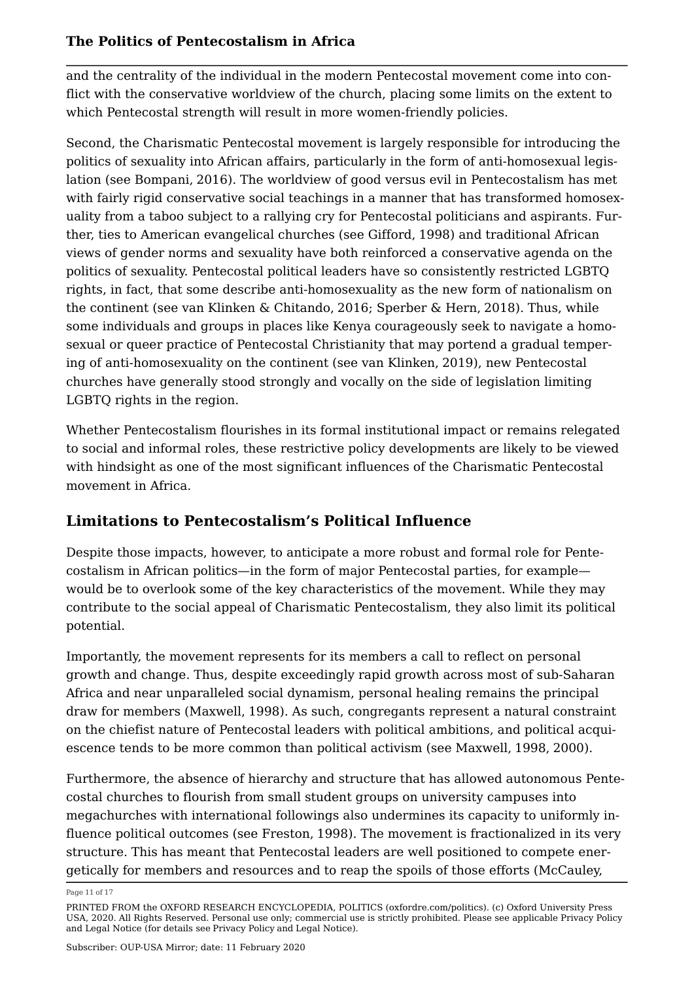and the centrality of the individual in the modern Pentecostal movement come into conflict with the conservative worldview of the church, placing some limits on the extent to which Pentecostal strength will result in more women-friendly policies.

Second, the Charismatic Pentecostal movement is largely responsible for introducing the politics of sexuality into African affairs, particularly in the form of anti-homosexual legislation (see Bompani, 2016). The worldview of good versus evil in Pentecostalism has met with fairly rigid conservative social teachings in a manner that has transformed homosexuality from a taboo subject to a rallying cry for Pentecostal politicians and aspirants. Further, ties to American evangelical churches (see Gifford, 1998) and traditional African views of gender norms and sexuality have both reinforced a conservative agenda on the politics of sexuality. Pentecostal political leaders have so consistently restricted LGBTQ rights, in fact, that some describe anti-homosexuality as the new form of nationalism on the continent (see van Klinken & Chitando, 2016; Sperber & Hern, 2018). Thus, while some individuals and groups in places like Kenya courageously seek to navigate a homosexual or queer practice of Pentecostal Christianity that may portend a gradual tempering of anti-homosexuality on the continent (see van Klinken, 2019), new Pentecostal churches have generally stood strongly and vocally on the side of legislation limiting LGBTQ rights in the region.

Whether Pentecostalism flourishes in its formal institutional impact or remains relegated to social and informal roles, these restrictive policy developments are likely to be viewed with hindsight as one of the most significant influences of the Charismatic Pentecostal movement in Africa.

## **Limitations to Pentecostalism's Political Influence**

Despite those impacts, however, to anticipate a more robust and formal role for Pentecostalism in African politics—in the form of major Pentecostal parties, for example would be to overlook some of the key characteristics of the movement. While they may contribute to the social appeal of Charismatic Pentecostalism, they also limit its political potential.

Importantly, the movement represents for its members a call to reflect on personal growth and change. Thus, despite exceedingly rapid growth across most of sub-Saharan Africa and near unparalleled social dynamism, personal healing remains the principal draw for members (Maxwell, 1998). As such, congregants represent a natural constraint on the chiefist nature of Pentecostal leaders with political ambitions, and political acquiescence tends to be more common than political activism (see Maxwell, 1998, 2000).

Furthermore, the absence of hierarchy and structure that has allowed autonomous Pentecostal churches to flourish from small student groups on university campuses into megachurches with international followings also undermines its capacity to uniformly influence political outcomes (see Freston, 1998). The movement is fractionalized in its very structure. This has meant that Pentecostal leaders are well positioned to compete energetically for members and resources and to reap the spoils of those efforts (McCauley,

Page 11 of 17

PRINTED FROM the OXFORD RESEARCH ENCYCLOPEDIA, POLITICS (oxfordre.com/politics). (c) Oxford University Press USA, 2020. All Rights Reserved. Personal use only; commercial use is strictly prohibited. Please see applicable Privacy Policy and Legal Notice (for details see Privacy Policy and Legal Notice).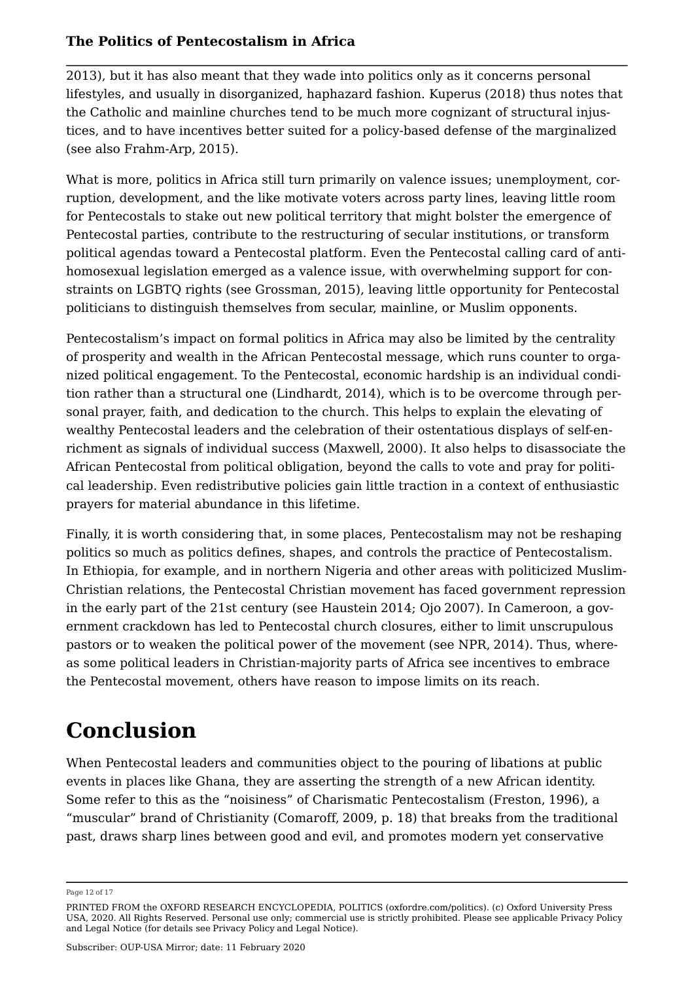2013), but it has also meant that they wade into politics only as it concerns personal lifestyles, and usually in disorganized, haphazard fashion. Kuperus (2018) thus notes that the Catholic and mainline churches tend to be much more cognizant of structural injustices, and to have incentives better suited for a policy-based defense of the marginalized (see also Frahm-Arp, 2015).

What is more, politics in Africa still turn primarily on valence issues; unemployment, corruption, development, and the like motivate voters across party lines, leaving little room for Pentecostals to stake out new political territory that might bolster the emergence of Pentecostal parties, contribute to the restructuring of secular institutions, or transform political agendas toward a Pentecostal platform. Even the Pentecostal calling card of antihomosexual legislation emerged as a valence issue, with overwhelming support for constraints on LGBTQ rights (see Grossman, 2015), leaving little opportunity for Pentecostal politicians to distinguish themselves from secular, mainline, or Muslim opponents.

Pentecostalism's impact on formal politics in Africa may also be limited by the centrality of prosperity and wealth in the African Pentecostal message, which runs counter to organized political engagement. To the Pentecostal, economic hardship is an individual condition rather than a structural one (Lindhardt, 2014), which is to be overcome through personal prayer, faith, and dedication to the church. This helps to explain the elevating of wealthy Pentecostal leaders and the celebration of their ostentatious displays of self-enrichment as signals of individual success (Maxwell, 2000). It also helps to disassociate the African Pentecostal from political obligation, beyond the calls to vote and pray for political leadership. Even redistributive policies gain little traction in a context of enthusiastic prayers for material abundance in this lifetime.

Finally, it is worth considering that, in some places, Pentecostalism may not be reshaping politics so much as politics defines, shapes, and controls the practice of Pentecostalism. In Ethiopia, for example, and in northern Nigeria and other areas with politicized Muslim-Christian relations, the Pentecostal Christian movement has faced government repression in the early part of the 21st century (see Haustein 2014; Ojo 2007). In Cameroon, a government crackdown has led to Pentecostal church closures, either to limit unscrupulous pastors or to weaken the political power of the movement (see NPR, 2014). Thus, whereas some political leaders in Christian-majority parts of Africa see incentives to embrace the Pentecostal movement, others have reason to impose limits on its reach.

# **Conclusion**

When Pentecostal leaders and communities object to the pouring of libations at public events in places like Ghana, they are asserting the strength of a new African identity. Some refer to this as the "noisiness" of Charismatic Pentecostalism (Freston, 1996), a "muscular" brand of Christianity (Comaroff, 2009, p. 18) that breaks from the traditional past, draws sharp lines between good and evil, and promotes modern yet conservative

Page 12 of 17

PRINTED FROM the OXFORD RESEARCH ENCYCLOPEDIA, POLITICS (oxfordre.com/politics). (c) Oxford University Press USA, 2020. All Rights Reserved. Personal use only; commercial use is strictly prohibited. Please see applicable Privacy Policy and Legal Notice (for details see Privacy Policy and Legal Notice).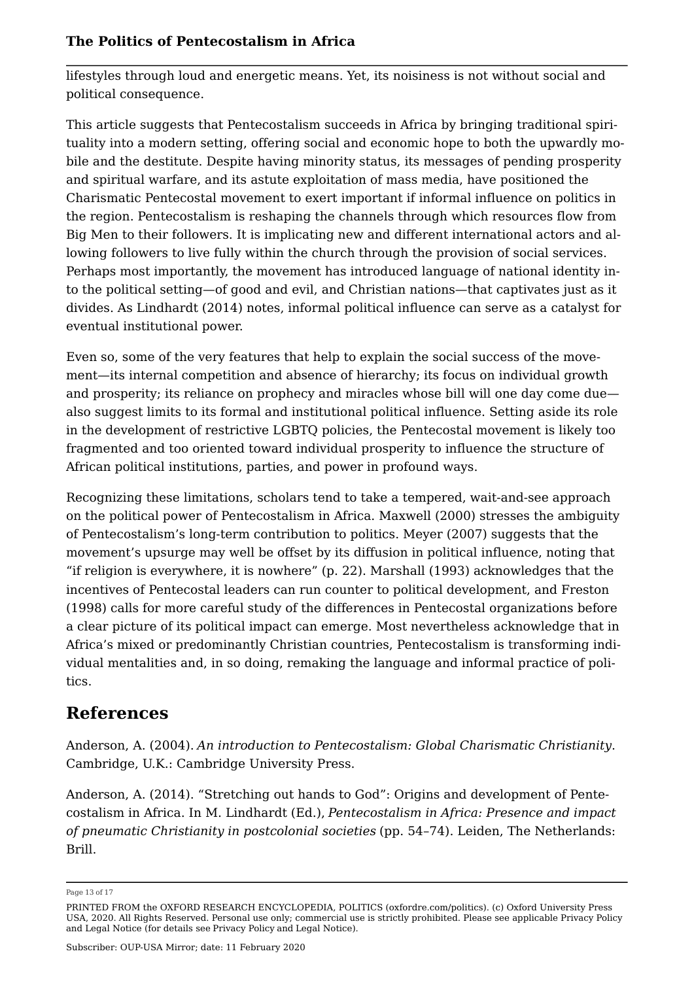lifestyles through loud and energetic means. Yet, its noisiness is not without social and political consequence.

This article suggests that Pentecostalism succeeds in Africa by bringing traditional spirituality into a modern setting, offering social and economic hope to both the upwardly mobile and the destitute. Despite having minority status, its messages of pending prosperity and spiritual warfare, and its astute exploitation of mass media, have positioned the Charismatic Pentecostal movement to exert important if informal influence on politics in the region. Pentecostalism is reshaping the channels through which resources flow from Big Men to their followers. It is implicating new and different international actors and allowing followers to live fully within the church through the provision of social services. Perhaps most importantly, the movement has introduced language of national identity into the political setting—of good and evil, and Christian nations—that captivates just as it divides. As Lindhardt (2014) notes, informal political influence can serve as a catalyst for eventual institutional power.

Even so, some of the very features that help to explain the social success of the movement—its internal competition and absence of hierarchy; its focus on individual growth and prosperity; its reliance on prophecy and miracles whose bill will one day come due also suggest limits to its formal and institutional political influence. Setting aside its role in the development of restrictive LGBTQ policies, the Pentecostal movement is likely too fragmented and too oriented toward individual prosperity to influence the structure of African political institutions, parties, and power in profound ways.

Recognizing these limitations, scholars tend to take a tempered, wait-and-see approach on the political power of Pentecostalism in Africa. Maxwell (2000) stresses the ambiguity of Pentecostalism's long-term contribution to politics. Meyer (2007) suggests that the movement's upsurge may well be offset by its diffusion in political influence, noting that "if religion is everywhere, it is nowhere" (p. 22). Marshall (1993) acknowledges that the incentives of Pentecostal leaders can run counter to political development, and Freston (1998) calls for more careful study of the differences in Pentecostal organizations before a clear picture of its political impact can emerge. Most nevertheless acknowledge that in Africa's mixed or predominantly Christian countries, Pentecostalism is transforming individual mentalities and, in so doing, remaking the language and informal practice of politics.

## **References**

Anderson, A. (2004). *An introduction to Pentecostalism: Global Charismatic Christianity*. Cambridge, U.K.: Cambridge University Press.

Anderson, A. (2014). "Stretching out hands to God": Origins and development of Pentecostalism in Africa. In M. Lindhardt (Ed.), *Pentecostalism in Africa: Presence and impact of pneumatic Christianity in postcolonial societies* (pp. 54–74). Leiden, The Netherlands: Brill.

Page 13 of 17

PRINTED FROM the OXFORD RESEARCH ENCYCLOPEDIA, POLITICS (oxfordre.com/politics). (c) Oxford University Press USA, 2020. All Rights Reserved. Personal use only; commercial use is strictly prohibited. Please see applicable Privacy Policy and Legal Notice (for details see Privacy Policy and Legal Notice).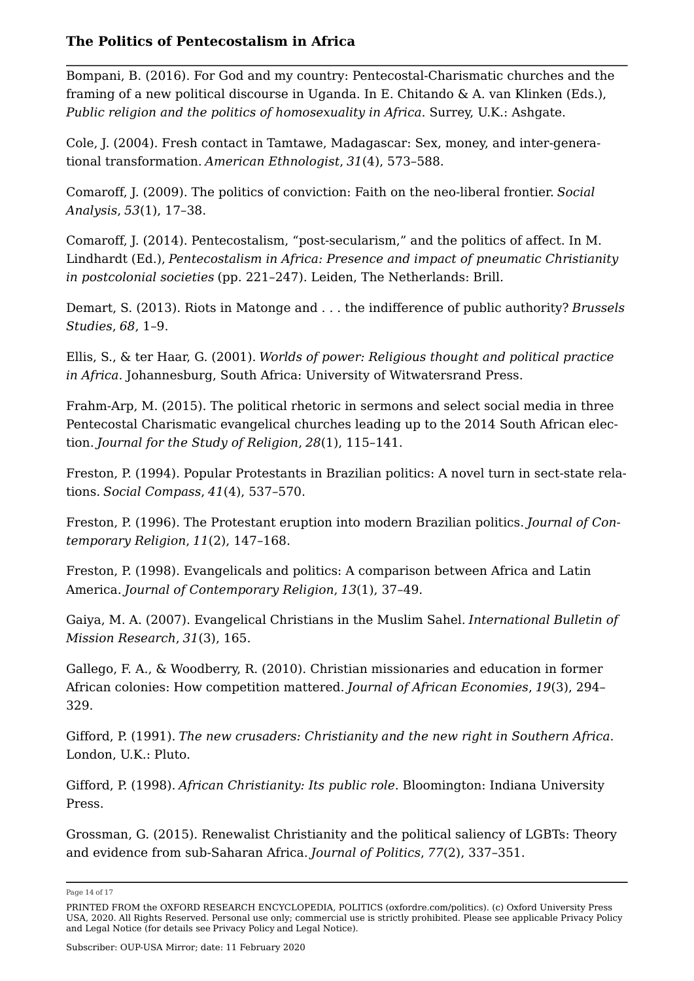Bompani, B. (2016). For God and my country: Pentecostal-Charismatic churches and the framing of a new political discourse in Uganda. In E. Chitando & A. van Klinken (Eds.), *Public religion and the politics of homosexuality in Africa*. Surrey, U.K.: Ashgate.

Cole, J. (2004). Fresh contact in Tamtawe, Madagascar: Sex, money, and inter-generational transformation. *American Ethnologist*, *31*(4), 573–588.

Comaroff, J. (2009). The politics of conviction: Faith on the neo-liberal frontier. *Social Analysis*, *53*(1), 17–38.

Comaroff, J. (2014). Pentecostalism, "post-secularism," and the politics of affect. In M. Lindhardt (Ed.), *Pentecostalism in Africa: Presence and impact of pneumatic Christianity in postcolonial societies* (pp. 221–247). Leiden, The Netherlands: Brill.

Demart, S. (2013). Riots in Matonge and . . . the indifference of public authority? *Brussels Studies*, *68*, 1–9.

Ellis, S., & ter Haar, G. (2001). *Worlds of power: Religious thought and political practice in Africa*. Johannesburg, South Africa: University of Witwatersrand Press.

Frahm-Arp, M. (2015). The political rhetoric in sermons and select social media in three Pentecostal Charismatic evangelical churches leading up to the 2014 South African election. *Journal for the Study of Religion*, *28*(1), 115–141.

Freston, P. (1994). Popular Protestants in Brazilian politics: A novel turn in sect-state relations. *Social Compass*, *41*(4), 537–570.

Freston, P. (1996). The Protestant eruption into modern Brazilian politics. *Journal of Contemporary Religion*, *11*(2), 147–168.

Freston, P. (1998). Evangelicals and politics: A comparison between Africa and Latin America. *Journal of Contemporary Religion*, *13*(1), 37–49.

Gaiya, M. A. (2007). Evangelical Christians in the Muslim Sahel. *International Bulletin of Mission Research*, *31*(3), 165.

Gallego, F. A., & Woodberry, R. (2010). Christian missionaries and education in former African colonies: How competition mattered. *Journal of African Economies*, *19*(3), 294– 329.

Gifford, P. (1991). *The new crusaders: Christianity and the new right in Southern Africa*. London, U.K.: Pluto.

Gifford, P. (1998). *African Christianity: Its public role*. Bloomington: Indiana University Press.

Grossman, G. (2015). Renewalist Christianity and the political saliency of LGBTs: Theory and evidence from sub-Saharan Africa. *Journal of Politics*, *77*(2), 337–351.

Page 14 of 17

PRINTED FROM the OXFORD RESEARCH ENCYCLOPEDIA, POLITICS (oxfordre.com/politics). (c) Oxford University Press USA, 2020. All Rights Reserved. Personal use only; commercial use is strictly prohibited. Please see applicable Privacy Policy and Legal Notice (for details see Privacy Policy and Legal Notice).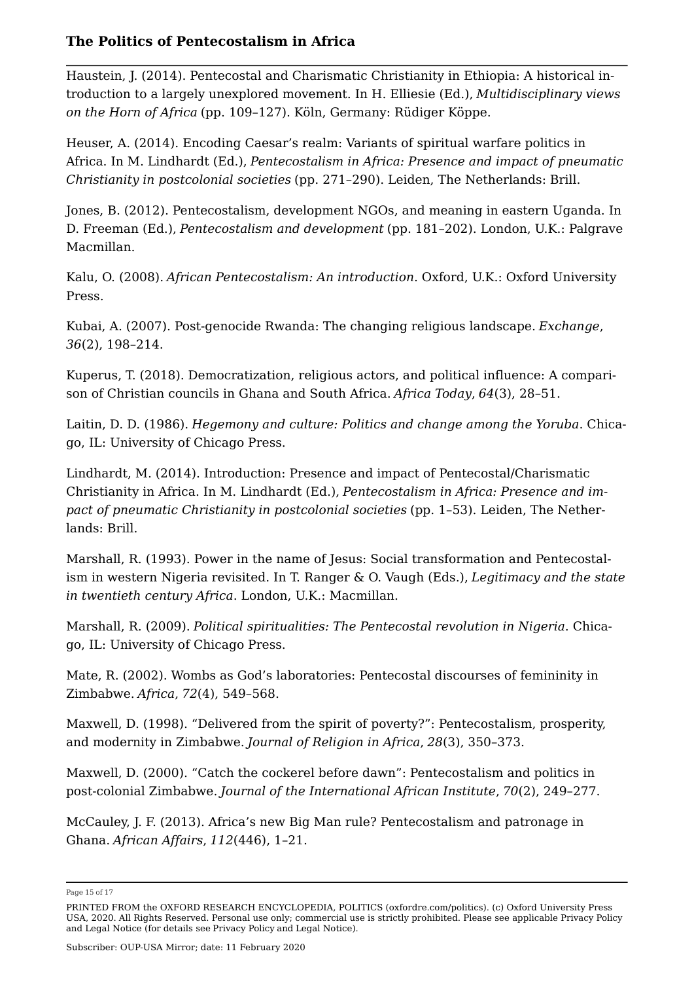Haustein, J. (2014). Pentecostal and Charismatic Christianity in Ethiopia: A historical introduction to a largely unexplored movement. In H. Elliesie (Ed.), *Multidisciplinary views on the Horn of Africa* (pp. 109–127). Köln, Germany: Rüdiger Köppe.

Heuser, A. (2014). Encoding Caesar's realm: Variants of spiritual warfare politics in Africa. In M. Lindhardt (Ed.), *Pentecostalism in Africa: Presence and impact of pneumatic Christianity in postcolonial societies* (pp. 271–290). Leiden, The Netherlands: Brill.

Jones, B. (2012). Pentecostalism, development NGOs, and meaning in eastern Uganda. In D. Freeman (Ed.), *Pentecostalism and development* (pp. 181–202). London, U.K.: Palgrave Macmillan.

Kalu, O. (2008). *African Pentecostalism: An introduction*. Oxford, U.K.: Oxford University Press.

Kubai, A. (2007). Post-genocide Rwanda: The changing religious landscape. *Exchange*, *36*(2), 198–214.

Kuperus, T. (2018). Democratization, religious actors, and political influence: A comparison of Christian councils in Ghana and South Africa. *Africa Today*, *64*(3), 28–51.

Laitin, D. D. (1986). *Hegemony and culture: Politics and change among the Yoruba*. Chicago, IL: University of Chicago Press.

Lindhardt, M. (2014). Introduction: Presence and impact of Pentecostal/Charismatic Christianity in Africa. In M. Lindhardt (Ed.), *Pentecostalism in Africa: Presence and impact of pneumatic Christianity in postcolonial societies* (pp. 1–53). Leiden, The Netherlands: Brill.

Marshall, R. (1993). Power in the name of Jesus: Social transformation and Pentecostalism in western Nigeria revisited. In T. Ranger & O. Vaugh (Eds.), *Legitimacy and the state in twentieth century Africa*. London, U.K.: Macmillan.

Marshall, R. (2009). *Political spiritualities: The Pentecostal revolution in Nigeria*. Chicago, IL: University of Chicago Press.

Mate, R. (2002). Wombs as God's laboratories: Pentecostal discourses of femininity in Zimbabwe. *Africa*, *72*(4), 549–568.

Maxwell, D. (1998). "Delivered from the spirit of poverty?": Pentecostalism, prosperity, and modernity in Zimbabwe. *Journal of Religion in Africa*, *28*(3), 350–373.

Maxwell, D. (2000). "Catch the cockerel before dawn": Pentecostalism and politics in post-colonial Zimbabwe. *Journal of the International African Institute*, *70*(2), 249–277.

McCauley, J. F. (2013). Africa's new Big Man rule? Pentecostalism and patronage in Ghana. *African Affairs*, *112*(446), 1–21.

Page 15 of 17

PRINTED FROM the OXFORD RESEARCH ENCYCLOPEDIA, POLITICS (oxfordre.com/politics). (c) Oxford University Press USA, 2020. All Rights Reserved. Personal use only; commercial use is strictly prohibited. Please see applicable Privacy Policy and Legal Notice (for details see Privacy Policy and Legal Notice).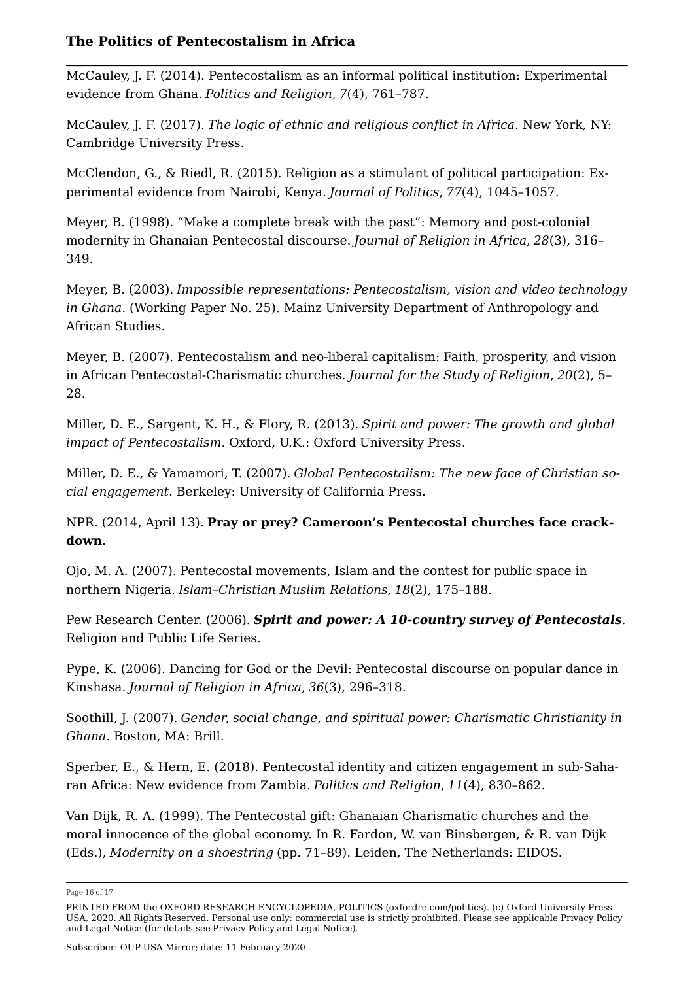McCauley, J. F. (2014). Pentecostalism as an informal political institution: Experimental evidence from Ghana. *Politics and Religion*, *7*(4), 761–787.

McCauley, J. F. (2017). *The logic of ethnic and religious conflict in Africa*. New York, NY: Cambridge University Press.

McClendon, G., & Riedl, R. (2015). Religion as a stimulant of political participation: Experimental evidence from Nairobi, Kenya. *Journal of Politics*, *77*(4), 1045–1057.

Meyer, B. (1998). "Make a complete break with the past": Memory and post-colonial modernity in Ghanaian Pentecostal discourse. *Journal of Religion in Africa*, *28*(3), 316– 349.

Meyer, B. (2003). *Impossible representations: Pentecostalism, vision and video technology in Ghana*. (Working Paper No. 25). Mainz University Department of Anthropology and African Studies.

Meyer, B. (2007). Pentecostalism and neo-liberal capitalism: Faith, prosperity, and vision in African Pentecostal-Charismatic churches. *Journal for the Study of Religion*, *20*(2), 5– 28.

Miller, D. E., Sargent, K. H., & Flory, R. (2013). *Spirit and power: The growth and global impact of Pentecostalism*. Oxford, U.K.: Oxford University Press.

Miller, D. E., & Yamamori, T. (2007). *Global Pentecostalism: The new face of Christian social engagement*. Berkeley: University of California Press.

NPR. (2014, April 13). **Pray or prey? Cameroon's Pentecostal churches face crackdown**.

Ojo, M. A. (2007). Pentecostal movements, Islam and the contest for public space in northern Nigeria. *Islam–Christian Muslim Relations*, *18*(2), 175–188.

Pew Research Center. (2006). *Spirit and power: A 10-country survey of Pentecostals*. Religion and Public Life Series.

Pype, K. (2006). Dancing for God or the Devil: Pentecostal discourse on popular dance in Kinshasa. *Journal of Religion in Africa*, *36*(3), 296–318.

Soothill, J. (2007). *Gender, social change, and spiritual power: Charismatic Christianity in Ghana*. Boston, MA: Brill.

Sperber, E., & Hern, E. (2018). Pentecostal identity and citizen engagement in sub-Saharan Africa: New evidence from Zambia. *Politics and Religion*, *11*(4), 830–862.

Van Dijk, R. A. (1999). The Pentecostal gift: Ghanaian Charismatic churches and the moral innocence of the global economy. In R. Fardon, W. van Binsbergen, & R. van Dijk (Eds.), *Modernity on a shoestring* (pp. 71–89). Leiden, The Netherlands: EIDOS.

Page 16 of 17

PRINTED FROM the OXFORD RESEARCH ENCYCLOPEDIA, POLITICS (oxfordre.com/politics). (c) Oxford University Press USA, 2020. All Rights Reserved. Personal use only; commercial use is strictly prohibited. Please see applicable Privacy Policy and Legal Notice (for details see Privacy Policy and Legal Notice).